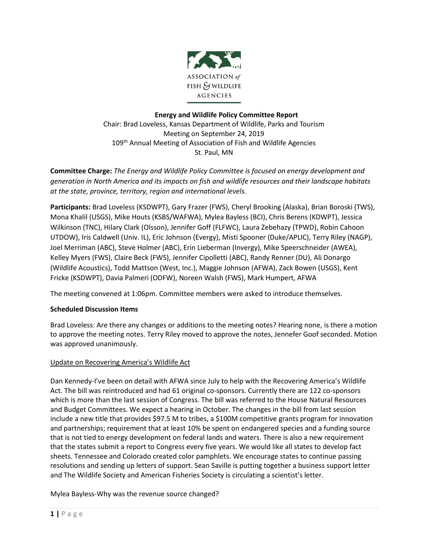

# **Energy and Wildlife Policy Committee Report** Chair: Brad Loveless, Kansas Department of Wildlife, Parks and Tourism Meeting on September 24, 2019 109<sup>th</sup> Annual Meeting of Association of Fish and Wildlife Agencies St. Paul, MN

**Committee Charge:** *The Energy and Wildlife Policy Committee is focused on energy development and generation in North America and its impacts on fish and wildlife resources and their landscape habitats at the state, province, territory, region and international levels.*

**Participants:** Brad Loveless (KSDWPT), Gary Frazer (FWS), Cheryl Brooking (Alaska), Brian Boroski (TWS), Mona Khalil (USGS), Mike Houts (KSBS/WAFWA), Mylea Bayless (BCI), Chris Berens (KDWPT), Jessica Wilkinson (TNC), Hilary Clark (Olsson), Jennifer Goff (FLFWC), Laura Zebehazy (TPWD), Robin Cahoon UTDOW), Iris Caldwell (Univ. IL), Eric Johnson (Evergy), Misti Spooner (Duke/APLIC), Terry Riley (NAGP), Joel Merriman (ABC), Steve Holmer (ABC), Erin Lieberman (Invergy), Mike Speerschneider (AWEA), Kelley Myers (FWS), Claire Beck (FWS), Jennifer Cipolletti (ABC), Randy Renner (DU), Ali Donargo (Wildlife Acoustics), Todd Mattson (West, Inc.), Maggie Johnson (AFWA), Zack Bowen (USGS), Kent Fricke (KSDWPT), Davia Palmeri (ODFW), Noreen Walsh (FWS), Mark Humpert, AFWA

The meeting convened at 1:06pm. Committee members were asked to introduce themselves.

## **Scheduled Discussion Items**

Brad Loveless: Are there any changes or additions to the meeting notes? Hearing none, is there a motion to approve the meeting notes. Terry Riley moved to approve the notes, Jennefer Goof seconded. Motion was approved unanimously.

## Update on Recovering America's Wildlife Act

Dan Kennedy-I've been on detail with AFWA since July to help with the Recovering America's Wildlife Act. The bill was reintroduced and had 61 original co-sponsors. Currently there are 122 co-sponsors which is more than the last session of Congress. The bill was referred to the House Natural Resources and Budget Committees. We expect a hearing in October. The changes in the bill from last session include a new title that provides \$97.5 M to tribes, a \$100M competitive grants program for innovation and partnerships; requirement that at least 10% be spent on endangered species and a funding source that is not tied to energy development on federal lands and waters. There is also a new requirement that the states submit a report to Congress every five years. We would like all states to develop fact sheets. Tennessee and Colorado created color pamphlets. We encourage states to continue passing resolutions and sending up letters of support. Sean Saville is putting together a business support letter and The Wildlife Society and American Fisheries Society is circulating a scientist's letter.

Mylea Bayless-Why was the revenue source changed?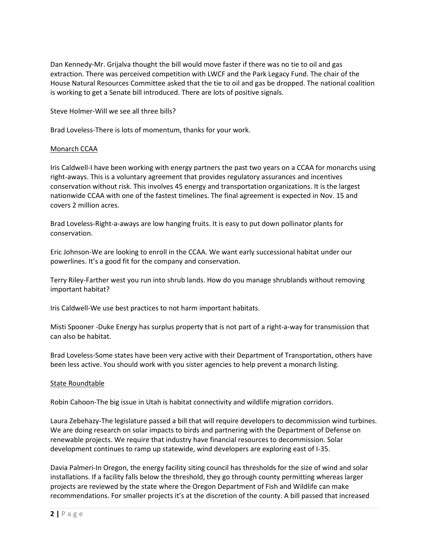Dan Kennedy-Mr. Grijalva thought the bill would move faster if there was no tie to oil and gas extraction. There was perceived competition with LWCF and the Park Legacy Fund. The chair of the House Natural Resources Committee asked that the tie to oil and gas be dropped. The national coalition is working to get a Senate bill introduced. There are lots of positive signals.

Steve Holmer-Will we see all three bills?

Brad Loveless-There is lots of momentum, thanks for your work.

### Monarch CCAA

Iris Caldwell-I have been working with energy partners the past two years on a CCAA for monarchs using right-aways. This is a voluntary agreement that provides regulatory assurances and incentives conservation without risk. This involves 45 energy and transportation organizations. It is the largest nationwide CCAA with one of the fastest timelines. The final agreement is expected in Nov. 15 and covers 2 million acres.

Brad Loveless-Right-a-aways are low hanging fruits. It is easy to put down pollinator plants for conservation.

Eric Johnson-We are looking to enroll in the CCAA. We want early successional habitat under our powerlines. It's a good fit for the company and conservation.

Terry Riley-Farther west you run into shrub lands. How do you manage shrublands without removing important habitat?

Iris Caldwell-We use best practices to not harm important habitats.

Misti Spooner -Duke Energy has surplus property that is not part of a right-a-way for transmission that can also be habitat.

Brad Loveless-Some states have been very active with their Department of Transportation, others have been less active. You should work with you sister agencies to help prevent a monarch listing.

### State Roundtable

Robin Cahoon-The big issue in Utah is habitat connectivity and wildlife migration corridors.

Laura Zebehazy-The legislature passed a bill that will require developers to decommission wind turbines. We are doing research on solar impacts to birds and partnering with the Department of Defense on renewable projects. We require that industry have financial resources to decommission. Solar development continues to ramp up statewide, wind developers are exploring east of I-35.

Davia Palmeri-In Oregon, the energy facility siting council has thresholds for the size of wind and solar installations. If a facility falls below the threshold, they go through county permitting whereas larger projects are reviewed by the state where the Oregon Department of Fish and Wildlife can make recommendations. For smaller projects it's at the discretion of the county. A bill passed that increased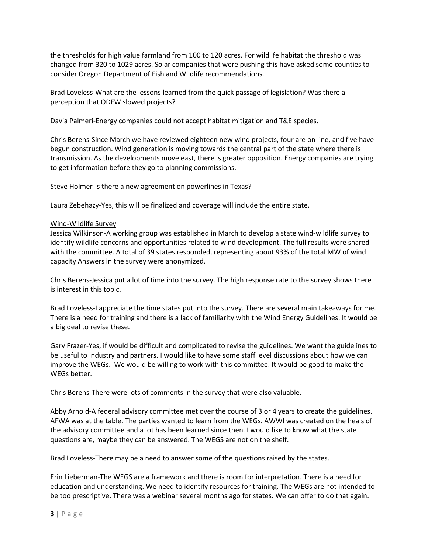the thresholds for high value farmland from 100 to 120 acres. For wildlife habitat the threshold was changed from 320 to 1029 acres. Solar companies that were pushing this have asked some counties to consider Oregon Department of Fish and Wildlife recommendations.

Brad Loveless-What are the lessons learned from the quick passage of legislation? Was there a perception that ODFW slowed projects?

Davia Palmeri-Energy companies could not accept habitat mitigation and T&E species.

Chris Berens-Since March we have reviewed eighteen new wind projects, four are on line, and five have begun construction. Wind generation is moving towards the central part of the state where there is transmission. As the developments move east, there is greater opposition. Energy companies are trying to get information before they go to planning commissions.

Steve Holmer-Is there a new agreement on powerlines in Texas?

Laura Zebehazy-Yes, this will be finalized and coverage will include the entire state.

### Wind-Wildlife Survey

Jessica Wilkinson-A working group was established in March to develop a state wind-wildlife survey to identify wildlife concerns and opportunities related to wind development. The full results were shared with the committee. A total of 39 states responded, representing about 93% of the total MW of wind capacity Answers in the survey were anonymized.

Chris Berens-Jessica put a lot of time into the survey. The high response rate to the survey shows there is interest in this topic.

Brad Loveless-I appreciate the time states put into the survey. There are several main takeaways for me. There is a need for training and there is a lack of familiarity with the Wind Energy Guidelines. It would be a big deal to revise these.

Gary Frazer-Yes, if would be difficult and complicated to revise the guidelines. We want the guidelines to be useful to industry and partners. I would like to have some staff level discussions about how we can improve the WEGs. We would be willing to work with this committee. It would be good to make the WEGs better.

Chris Berens-There were lots of comments in the survey that were also valuable.

Abby Arnold-A federal advisory committee met over the course of 3 or 4 years to create the guidelines. AFWA was at the table. The parties wanted to learn from the WEGs. AWWI was created on the heals of the advisory committee and a lot has been learned since then. I would like to know what the state questions are, maybe they can be answered. The WEGS are not on the shelf.

Brad Loveless-There may be a need to answer some of the questions raised by the states.

Erin Lieberman-The WEGS are a framework and there is room for interpretation. There is a need for education and understanding. We need to identify resources for training. The WEGs are not intended to be too prescriptive. There was a webinar several months ago for states. We can offer to do that again.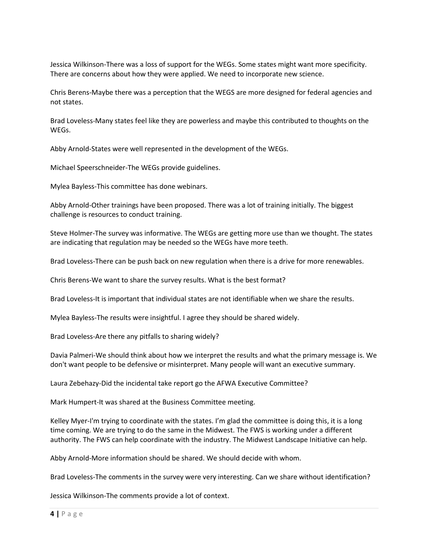Jessica Wilkinson-There was a loss of support for the WEGs. Some states might want more specificity. There are concerns about how they were applied. We need to incorporate new science.

Chris Berens-Maybe there was a perception that the WEGS are more designed for federal agencies and not states.

Brad Loveless-Many states feel like they are powerless and maybe this contributed to thoughts on the WEGs.

Abby Arnold-States were well represented in the development of the WEGs.

Michael Speerschneider-The WEGs provide guidelines.

Mylea Bayless-This committee has done webinars.

Abby Arnold-Other trainings have been proposed. There was a lot of training initially. The biggest challenge is resources to conduct training.

Steve Holmer-The survey was informative. The WEGs are getting more use than we thought. The states are indicating that regulation may be needed so the WEGs have more teeth.

Brad Loveless-There can be push back on new regulation when there is a drive for more renewables.

Chris Berens-We want to share the survey results. What is the best format?

Brad Loveless-It is important that individual states are not identifiable when we share the results.

Mylea Bayless-The results were insightful. I agree they should be shared widely.

Brad Loveless-Are there any pitfalls to sharing widely?

Davia Palmeri-We should think about how we interpret the results and what the primary message is. We don't want people to be defensive or misinterpret. Many people will want an executive summary.

Laura Zebehazy-Did the incidental take report go the AFWA Executive Committee?

Mark Humpert-It was shared at the Business Committee meeting.

Kelley Myer-I'm trying to coordinate with the states. I'm glad the committee is doing this, it is a long time coming. We are trying to do the same in the Midwest. The FWS is working under a different authority. The FWS can help coordinate with the industry. The Midwest Landscape Initiative can help.

Abby Arnold-More information should be shared. We should decide with whom.

Brad Loveless-The comments in the survey were very interesting. Can we share without identification?

Jessica Wilkinson-The comments provide a lot of context.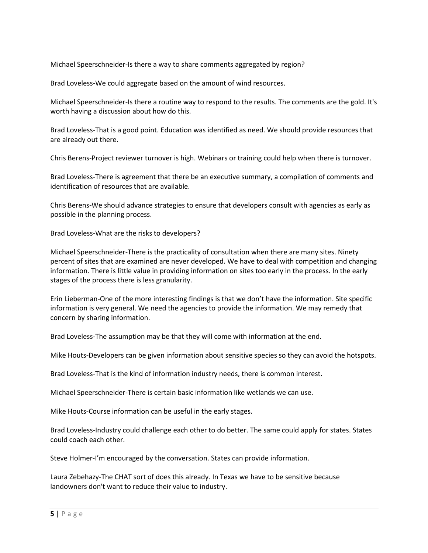Michael Speerschneider-Is there a way to share comments aggregated by region?

Brad Loveless-We could aggregate based on the amount of wind resources.

Michael Speerschneider-Is there a routine way to respond to the results. The comments are the gold. It's worth having a discussion about how do this.

Brad Loveless-That is a good point. Education was identified as need. We should provide resources that are already out there.

Chris Berens-Project reviewer turnover is high. Webinars or training could help when there is turnover.

Brad Loveless-There is agreement that there be an executive summary, a compilation of comments and identification of resources that are available.

Chris Berens-We should advance strategies to ensure that developers consult with agencies as early as possible in the planning process.

Brad Loveless-What are the risks to developers?

Michael Speerschneider-There is the practicality of consultation when there are many sites. Ninety percent of sites that are examined are never developed. We have to deal with competition and changing information. There is little value in providing information on sites too early in the process. In the early stages of the process there is less granularity.

Erin Lieberman-One of the more interesting findings is that we don't have the information. Site specific information is very general. We need the agencies to provide the information. We may remedy that concern by sharing information.

Brad Loveless-The assumption may be that they will come with information at the end.

Mike Houts-Developers can be given information about sensitive species so they can avoid the hotspots.

Brad Loveless-That is the kind of information industry needs, there is common interest.

Michael Speerschneider-There is certain basic information like wetlands we can use.

Mike Houts-Course information can be useful in the early stages.

Brad Loveless-Industry could challenge each other to do better. The same could apply for states. States could coach each other.

Steve Holmer-I'm encouraged by the conversation. States can provide information.

Laura Zebehazy-The CHAT sort of does this already. In Texas we have to be sensitive because landowners don't want to reduce their value to industry.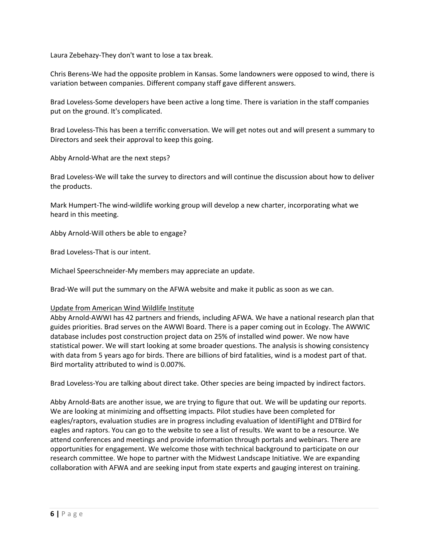Laura Zebehazy-They don't want to lose a tax break.

Chris Berens-We had the opposite problem in Kansas. Some landowners were opposed to wind, there is variation between companies. Different company staff gave different answers.

Brad Loveless-Some developers have been active a long time. There is variation in the staff companies put on the ground. It's complicated.

Brad Loveless-This has been a terrific conversation. We will get notes out and will present a summary to Directors and seek their approval to keep this going.

Abby Arnold-What are the next steps?

Brad Loveless-We will take the survey to directors and will continue the discussion about how to deliver the products.

Mark Humpert-The wind-wildlife working group will develop a new charter, incorporating what we heard in this meeting.

Abby Arnold-Will others be able to engage?

Brad Loveless-That is our intent.

Michael Speerschneider-My members may appreciate an update.

Brad-We will put the summary on the AFWA website and make it public as soon as we can.

#### Update from American Wind Wildlife Institute

Abby Arnold-AWWI has 42 partners and friends, including AFWA. We have a national research plan that guides priorities. Brad serves on the AWWI Board. There is a paper coming out in Ecology. The AWWIC database includes post construction project data on 25% of installed wind power. We now have statistical power. We will start looking at some broader questions. The analysis is showing consistency with data from 5 years ago for birds. There are billions of bird fatalities, wind is a modest part of that. Bird mortality attributed to wind is 0.007%.

Brad Loveless-You are talking about direct take. Other species are being impacted by indirect factors.

Abby Arnold-Bats are another issue, we are trying to figure that out. We will be updating our reports. We are looking at minimizing and offsetting impacts. Pilot studies have been completed for eagles/raptors, evaluation studies are in progress including evaluation of IdentiFlight and DTBird for eagles and raptors. You can go to the website to see a list of results. We want to be a resource. We attend conferences and meetings and provide information through portals and webinars. There are opportunities for engagement. We welcome those with technical background to participate on our research committee. We hope to partner with the Midwest Landscape Initiative. We are expanding collaboration with AFWA and are seeking input from state experts and gauging interest on training.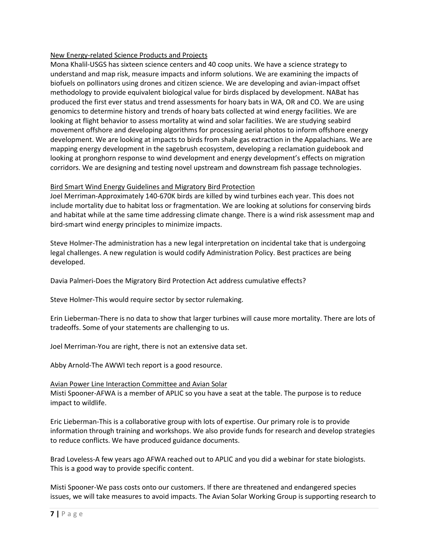### New Energy-related Science Products and Projects

Mona Khalil-USGS has sixteen science centers and 40 coop units. We have a science strategy to understand and map risk, measure impacts and inform solutions. We are examining the impacts of biofuels on pollinators using drones and citizen science. We are developing and avian-impact offset methodology to provide equivalent biological value for birds displaced by development. NABat has produced the first ever status and trend assessments for hoary bats in WA, OR and CO. We are using genomics to determine history and trends of hoary bats collected at wind energy facilities. We are looking at flight behavior to assess mortality at wind and solar facilities. We are studying seabird movement offshore and developing algorithms for processing aerial photos to inform offshore energy development. We are looking at impacts to birds from shale gas extraction in the Appalachians. We are mapping energy development in the sagebrush ecosystem, developing a reclamation guidebook and looking at pronghorn response to wind development and energy development's effects on migration corridors. We are designing and testing novel upstream and downstream fish passage technologies.

### Bird Smart Wind Energy Guidelines and Migratory Bird Protection

Joel Merriman-Approximately 140-670K birds are killed by wind turbines each year. This does not include mortality due to habitat loss or fragmentation. We are looking at solutions for conserving birds and habitat while at the same time addressing climate change. There is a wind risk assessment map and bird-smart wind energy principles to minimize impacts.

Steve Holmer-The administration has a new legal interpretation on incidental take that is undergoing legal challenges. A new regulation is would codify Administration Policy. Best practices are being developed.

Davia Palmeri-Does the Migratory Bird Protection Act address cumulative effects?

Steve Holmer-This would require sector by sector rulemaking.

Erin Lieberman-There is no data to show that larger turbines will cause more mortality. There are lots of tradeoffs. Some of your statements are challenging to us.

Joel Merriman-You are right, there is not an extensive data set.

Abby Arnold-The AWWI tech report is a good resource.

### Avian Power Line Interaction Committee and Avian Solar

Misti Spooner-AFWA is a member of APLIC so you have a seat at the table. The purpose is to reduce impact to wildlife.

Eric Lieberman-This is a collaborative group with lots of expertise. Our primary role is to provide information through training and workshops. We also provide funds for research and develop strategies to reduce conflicts. We have produced guidance documents.

Brad Loveless-A few years ago AFWA reached out to APLIC and you did a webinar for state biologists. This is a good way to provide specific content.

Misti Spooner-We pass costs onto our customers. If there are threatened and endangered species issues, we will take measures to avoid impacts. The Avian Solar Working Group is supporting research to